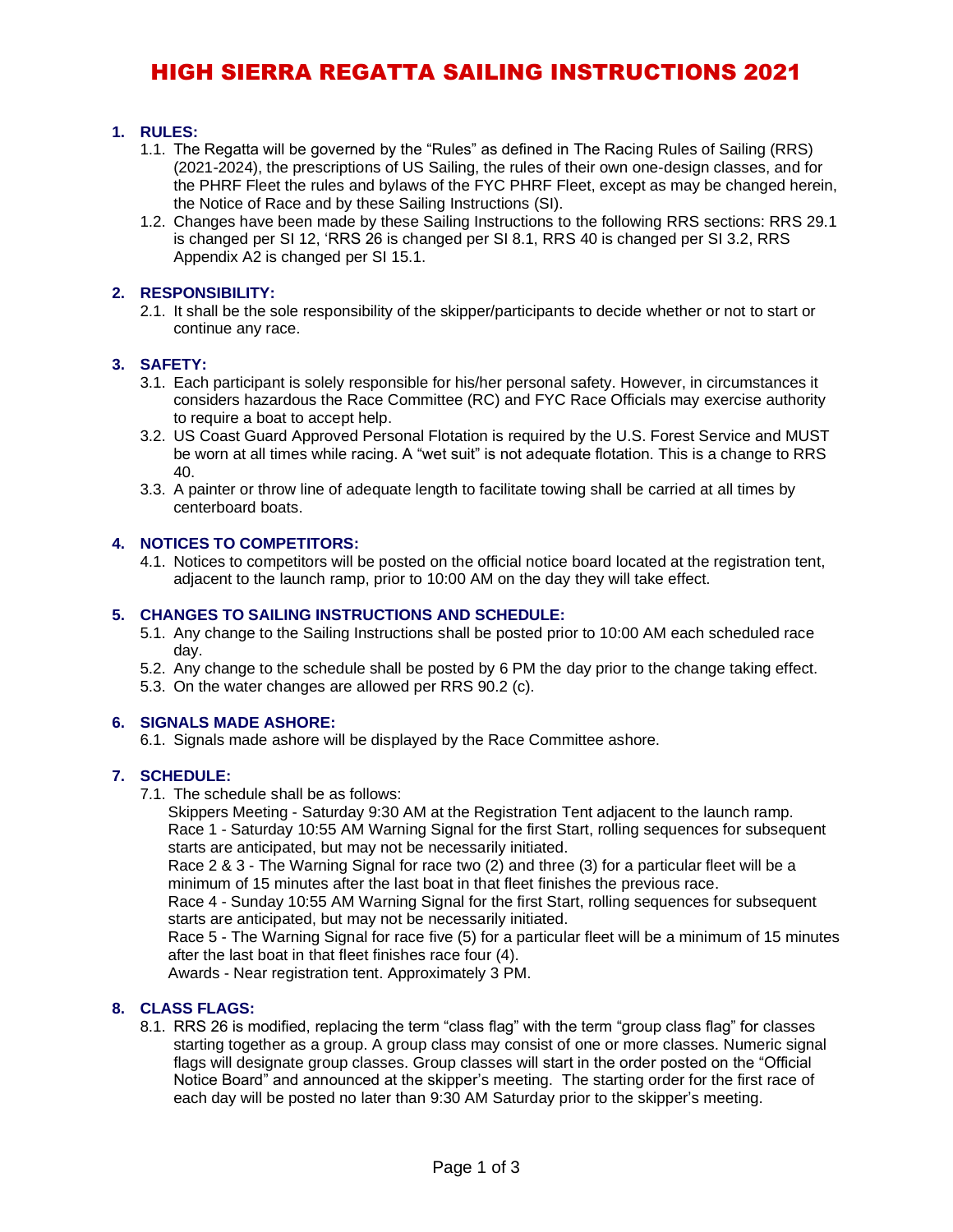# HIGH SIERRA REGATTA SAILING INSTRUCTIONS 2021

### **1. RULES:**

- 1.1. The Regatta will be governed by the "Rules" as defined in The Racing Rules of Sailing (RRS) (2021-2024), the prescriptions of US Sailing, the rules of their own one-design classes, and for the PHRF Fleet the rules and bylaws of the FYC PHRF Fleet, except as may be changed herein, the Notice of Race and by these Sailing Instructions (SI).
- 1.2. Changes have been made by these Sailing Instructions to the following RRS sections: RRS 29.1 is changed per SI 12, 'RRS 26 is changed per SI 8.1, RRS 40 is changed per SI 3.2, RRS Appendix A2 is changed per SI 15.1.

#### **2. RESPONSIBILITY:**

2.1. It shall be the sole responsibility of the skipper/participants to decide whether or not to start or continue any race.

#### **3. SAFETY:**

- 3.1. Each participant is solely responsible for his/her personal safety. However, in circumstances it considers hazardous the Race Committee (RC) and FYC Race Officials may exercise authority to require a boat to accept help.
- 3.2. US Coast Guard Approved Personal Flotation is required by the U.S. Forest Service and MUST be worn at all times while racing. A "wet suit" is not adequate flotation. This is a change to RRS 40.
- 3.3. A painter or throw line of adequate length to facilitate towing shall be carried at all times by centerboard boats.

#### **4. NOTICES TO COMPETITORS:**

4.1. Notices to competitors will be posted on the official notice board located at the registration tent, adjacent to the launch ramp, prior to 10:00 AM on the day they will take effect.

#### **5. CHANGES TO SAILING INSTRUCTIONS AND SCHEDULE:**

- 5.1. Any change to the Sailing Instructions shall be posted prior to 10:00 AM each scheduled race day.
- 5.2. Any change to the schedule shall be posted by 6 PM the day prior to the change taking effect.
- 5.3. On the water changes are allowed per RRS 90.2 (c).

#### **6. SIGNALS MADE ASHORE:**

6.1. Signals made ashore will be displayed by the Race Committee ashore.

#### **7. SCHEDULE:**

7.1. The schedule shall be as follows:

Skippers Meeting - Saturday 9:30 AM at the Registration Tent adjacent to the launch ramp. Race 1 - Saturday 10:55 AM Warning Signal for the first Start, rolling sequences for subsequent starts are anticipated, but may not be necessarily initiated.

Race 2 & 3 - The Warning Signal for race two (2) and three (3) for a particular fleet will be a minimum of 15 minutes after the last boat in that fleet finishes the previous race.

Race 4 - Sunday 10:55 AM Warning Signal for the first Start, rolling sequences for subsequent starts are anticipated, but may not be necessarily initiated.

Race 5 - The Warning Signal for race five (5) for a particular fleet will be a minimum of 15 minutes after the last boat in that fleet finishes race four (4).

Awards - Near registration tent. Approximately 3 PM.

#### **8. CLASS FLAGS:**

8.1. RRS 26 is modified, replacing the term "class flag" with the term "group class flag" for classes starting together as a group. A group class may consist of one or more classes. Numeric signal flags will designate group classes. Group classes will start in the order posted on the "Official Notice Board" and announced at the skipper's meeting. The starting order for the first race of each day will be posted no later than 9:30 AM Saturday prior to the skipper's meeting.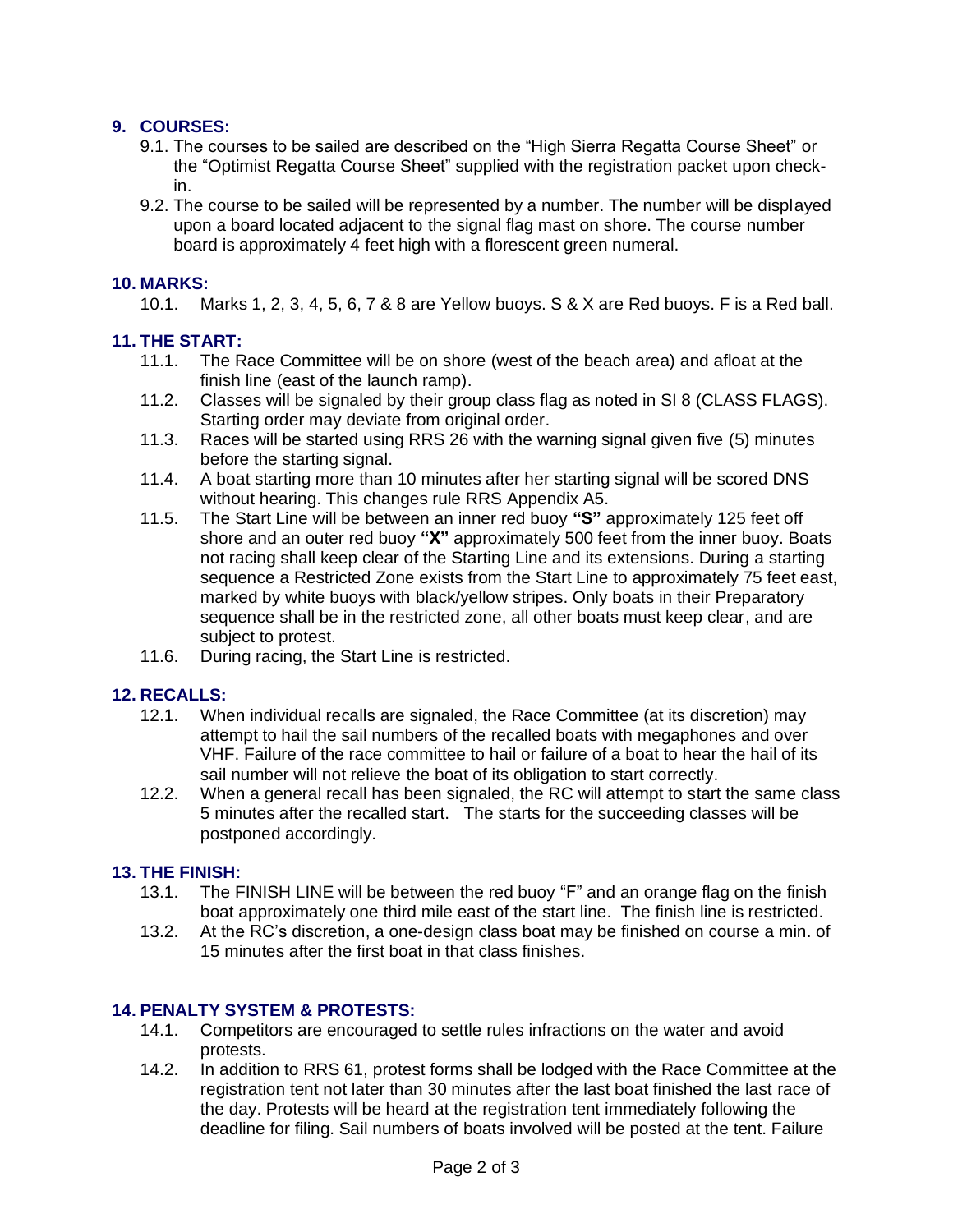# **9. COURSES:**

- 9.1. The courses to be sailed are described on the "High Sierra Regatta Course Sheet" or the "Optimist Regatta Course Sheet" supplied with the registration packet upon checkin.
- 9.2. The course to be sailed will be represented by a number. The number will be displayed upon a board located adjacent to the signal flag mast on shore. The course number board is approximately 4 feet high with a florescent green numeral.

# **10. MARKS:**

10.1. Marks 1, 2, 3, 4, 5, 6, 7 & 8 are Yellow buoys. S & X are Red buoys. F is a Red ball.

# **11. THE START:**

- 11.1. The Race Committee will be on shore (west of the beach area) and afloat at the finish line (east of the launch ramp).
- 11.2. Classes will be signaled by their group class flag as noted in SI 8 (CLASS FLAGS). Starting order may deviate from original order.
- 11.3. Races will be started using RRS 26 with the warning signal given five (5) minutes before the starting signal.
- 11.4. A boat starting more than 10 minutes after her starting signal will be scored DNS without hearing. This changes rule RRS Appendix A5.
- 11.5. The Start Line will be between an inner red buoy **"S"** approximately 125 feet off shore and an outer red buoy **"X"** approximately 500 feet from the inner buoy. Boats not racing shall keep clear of the Starting Line and its extensions. During a starting sequence a Restricted Zone exists from the Start Line to approximately 75 feet east, marked by white buoys with black/yellow stripes. Only boats in their Preparatory sequence shall be in the restricted zone, all other boats must keep clear, and are subject to protest.
- 11.6. During racing, the Start Line is restricted.

# **12. RECALLS:**

- 12.1. When individual recalls are signaled, the Race Committee (at its discretion) may attempt to hail the sail numbers of the recalled boats with megaphones and over VHF. Failure of the race committee to hail or failure of a boat to hear the hail of its sail number will not relieve the boat of its obligation to start correctly.
- 12.2. When a general recall has been signaled, the RC will attempt to start the same class 5 minutes after the recalled start. The starts for the succeeding classes will be postponed accordingly.

# **13. THE FINISH:**

- 13.1. The FINISH LINE will be between the red buoy "F" and an orange flag on the finish boat approximately one third mile east of the start line. The finish line is restricted.
- 13.2. At the RC's discretion, a one-design class boat may be finished on course a min. of 15 minutes after the first boat in that class finishes.

# **14. PENALTY SYSTEM & PROTESTS:**

- 14.1. Competitors are encouraged to settle rules infractions on the water and avoid protests.
- 14.2. In addition to RRS 61, protest forms shall be lodged with the Race Committee at the registration tent not later than 30 minutes after the last boat finished the last race of the day. Protests will be heard at the registration tent immediately following the deadline for filing. Sail numbers of boats involved will be posted at the tent. Failure